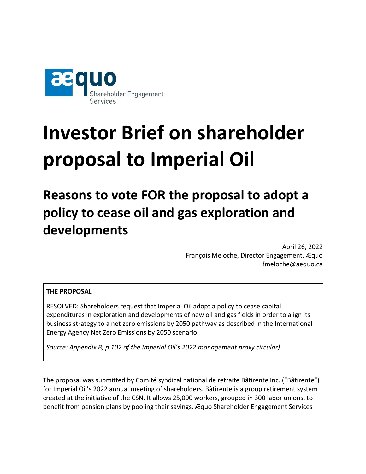

# **Investor Brief on shareholder proposal to Imperial Oil**

**Reasons to vote FOR the proposal to adopt a policy to cease oil and gas exploration and developments**

> April 26, 2022 François Meloche, Director Engagement, Æquo fmeloche@aequo.ca

#### **THE PROPOSAL**

RESOLVED: Shareholders request that Imperial Oil adopt a policy to cease capital expenditures in exploration and developments of new oil and gas fields in order to align its business strategy to a net zero emissions by 2050 pathway as described in the International Energy Agency Net Zero Emissions by 2050 scenario.

*Source: Appendix B, p.102 of the Imperial Oil's 2022 management proxy circular)*

The proposal was submitted by Comité syndical national de retraite Bâtirente Inc. ("Bâtirente") for Imperial Oil's 2022 annual meeting of shareholders. Bâtirente is a group retirement system created at the initiative of the CSN. It allows 25,000 workers, grouped in 300 labor unions, to benefit from pension plans by pooling their savings. Æquo Shareholder Engagement Services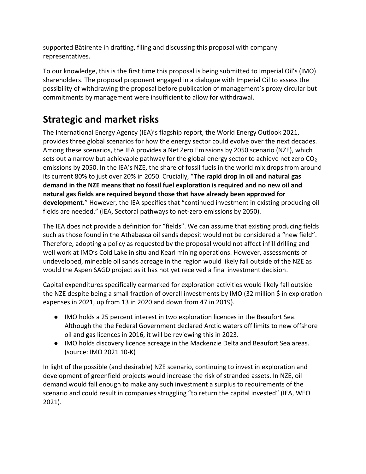supported Bâtirente in drafting, filing and discussing this proposal with company representatives.

To our knowledge, this is the first time this proposal is being submitted to Imperial Oil's (IMO) shareholders. The proposal proponent engaged in a dialogue with Imperial Oil to assess the possibility of withdrawing the proposal before publication of management's proxy circular but commitments by management were insufficient to allow for withdrawal.

# **Strategic and market risks**

The International Energy Agency (IEA)'s flagship report, the World Energy Outlook 2021, provides three global scenarios for how the energy sector could evolve over the next decades. Among these scenarios, the IEA provides a Net Zero Emissions by 2050 scenario (NZE), which sets out a narrow but achievable pathway for the global energy sector to achieve net zero  $CO<sub>2</sub>$ emissions by 2050. In the IEA's NZE, the share of fossil fuels in the world mix drops from around its current 80% to just over 20% in 2050. Crucially, "**The rapid drop in oil and natural gas demand in the NZE means that no fossil fuel exploration is required and no new oil and natural gas fields are required beyond those that have already been approved for development.**" However, the IEA specifies that "continued investment in existing producing oil fields are needed." (IEA, Sectoral pathways to net-zero emissions by 2050).

The IEA does not provide a definition for "fields". We can assume that existing producing fields such as those found in the Athabasca oil sands deposit would not be considered a "new field". Therefore, adopting a policy as requested by the proposal would not affect infill drilling and well work at IMO's Cold Lake in situ and Kearl mining operations. However, assessments of undeveloped, mineable oil sands acreage in the region would likely fall outside of the NZE as would the Aspen SAGD project as it has not yet received a final investment decision.

Capital expenditures specifically earmarked for exploration activities would likely fall outside the NZE despite being a small fraction of overall investments by IMO (32 million \$ in exploration expenses in 2021, up from 13 in 2020 and down from 47 in 2019).

- IMO holds a 25 percent interest in two exploration licences in the Beaufort Sea. Although the the Federal Government declared Arctic waters off limits to new offshore oil and gas licences in 2016, it will be reviewing this in 2023.
- IMO holds discovery licence acreage in the Mackenzie Delta and Beaufort Sea areas. (source: IMO 2021 10-K)

In light of the possible (and desirable) NZE scenario, continuing to invest in exploration and development of greenfield projects would increase the risk of stranded assets. In NZE, oil demand would fall enough to make any such investment a surplus to requirements of the scenario and could result in companies struggling "to return the capital invested" (IEA, WEO 2021).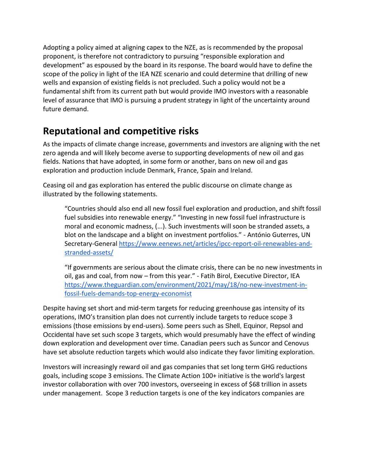Adopting a policy aimed at aligning capex to the NZE, as is recommended by the proposal proponent, is therefore not contradictory to pursuing "responsible exploration and development" as espoused by the board in its response. The board would have to define the scope of the policy in light of the IEA NZE scenario and could determine that drilling of new wells and expansion of existing fields is not precluded. Such a policy would not be a fundamental shift from its current path but would provide IMO investors with a reasonable level of assurance that IMO is pursuing a prudent strategy in light of the uncertainty around future demand.

### **Reputational and competitive risks**

As the impacts of climate change increase, governments and investors are aligning with the net zero agenda and will likely become averse to supporting developments of new oil and gas fields. Nations that have adopted, in some form or another, bans on new oil and gas exploration and production include Denmark, France, Spain and Ireland.

Ceasing oil and gas exploration has entered the public discourse on climate change as illustrated by the following statements.

"Countries should also end all new fossil fuel exploration and production, and shift fossil fuel subsidies into renewable energy." "Investing in new fossil fuel infrastructure is moral and economic madness, (...). Such investments will soon be stranded assets, a blot on the landscape and a blight on investment portfolios." - António Guterres, UN Secretary-General [https://www.eenews.net/articles/ipcc-report-oil-renewables-and](https://www.eenews.net/articles/ipcc-report-oil-renewables-and-stranded-assets/)[stranded-assets/](https://www.eenews.net/articles/ipcc-report-oil-renewables-and-stranded-assets/)

"If governments are serious about the climate crisis, there can be no new investments in oil, gas and coal, from now – from this year." - Fatih Birol, Executive Director, IEA [https://www.theguardian.com/environment/2021/may/18/no-new-investment-in](https://www.theguardian.com/environment/2021/may/18/no-new-investment-in-fossil-fuels-demands-top-energy-economist)[fossil-fuels-demands-top-energy-economist](https://www.theguardian.com/environment/2021/may/18/no-new-investment-in-fossil-fuels-demands-top-energy-economist)

Despite having set short and mid-term targets for reducing greenhouse gas intensity of its operations, IMO's transition plan does not currently include targets to reduce scope 3 emissions (those emissions by end-users). Some peers such as Shell, Equinor, Repsol and Occidental have set such scope 3 targets, which would presumably have the effect of winding down exploration and development over time. Canadian peers such as Suncor and Cenovus have set absolute reduction targets which would also indicate they favor limiting exploration.

Investors will increasingly reward oil and gas companies that set long term GHG reductions goals, including scope 3 emissions. The Climate Action 100+ initiative is the world's largest investor collaboration with over 700 investors, overseeing in excess of \$68 trillion in assets under management. Scope 3 reduction targets is one of the key indicators companies are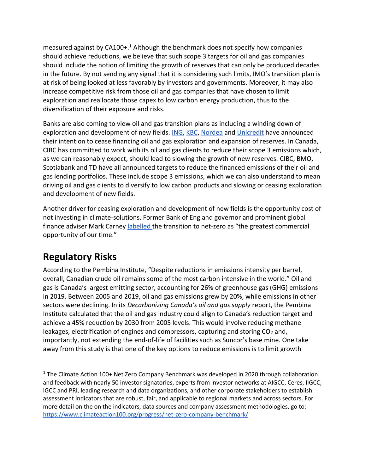measured against by CA100+.<sup>1</sup> Although the benchmark does not specify how companies should achieve reductions, we believe that such scope 3 targets for oil and gas companies should include the notion of limiting the growth of reserves that can only be produced decades in the future. By not sending any signal that it is considering such limits, IMO's transition plan is at risk of being looked at less favorably by investors and governments. Moreover, it may also increase competitive risk from those oil and gas companies that have chosen to limit exploration and reallocate those capex to low carbon energy production, thus to the diversification of their exposure and risks.

Banks are also coming to view oil and gas transition plans as including a winding down of exploration and development of new fields. [ING,](https://www.ing.com/Newsroom/News/ING-steps-up-renewable-energy-efforts-and-restricts-financing-of-new-oil-gas-fields.htm) [KBC,](https://newsroom.kbc.com/as-part-of-its-fight-against-climate-change-kbc-will-no-longer-provide-credit-advice-or-insurance-to-new-oil-and-gas-fields) [Nordea](https://www.nordea.com/en/doc/nordea-sector-guideline-fossil-fuel-2021-09.pdf) and [Unicredit](https://www.unicreditgroup.eu/content/dam/unicreditgroup-eu/documents/en/sustainability/our-vision-of-a-sustainable-bank/policies-and-guidelines/Oil-and-gas-policy(1).pdf) have announced their intention to cease financing oil and gas exploration and expansion of reserves. In Canada, CIBC has committed to work with its oil and gas clients to reduce their scope 3 emissions which, as we can reasonably expect, should lead to slowing the growth of new reserves. CIBC, BMO, Scotiabank and TD have all announced targets to reduce the financed emissions of their oil and gas lending portfolios. These include scope 3 emissions, which we can also understand to mean driving oil and gas clients to diversify to low carbon products and slowing or ceasing exploration and development of new fields.

Another driver for ceasing exploration and development of new fields is the opportunity cost of not investing in climate-solutions. Former Bank of England governor and prominent global finance adviser Mark Carney [labelled t](https://www.un.org/en/climatechange/mark-carney-investing-net-zero-climate-solutions-creates-value-and-rewards)he transition to net-zero as "the greatest commercial opportunity of our time."

# **Regulatory Risks**

According to the Pembina Institute, "Despite reductions in emissions intensity per barrel, overall, Canadian crude oil remains some of the most carbon intensive in the world." Oil and gas is Canada's largest emitting sector, accounting for 26% of greenhouse gas (GHG) emissions in 2019. Between 2005 and 2019, oil and gas emissions grew by 20%, while emissions in other sectors were declining. In its *Decarbonizing Canada's oil and gas supply* report, the Pembina Institute calculated that the oil and gas industry could align to Canada's reduction target and achieve a 45% reduction by 2030 from 2005 levels. This would involve reducing methane leakages, electrification of engines and compressors, capturing and storing  $CO<sub>2</sub>$  and, importantly, not extending the end-of-life of facilities such as Suncor's base mine. One take away from this study is that one of the key options to reduce emissions is to limit growth

<sup>&</sup>lt;sup>1</sup> The Climate Action 100+ Net Zero Company Benchmark was developed in 2020 through collaboration and feedback with nearly 50 investor signatories, experts from investor networks at AIGCC, Ceres, IIGCC, IGCC and PRI, leading research and data organizations, and other corporate stakeholders to establish assessment indicators that are robust, fair, and applicable to regional markets and across sectors. For more detail on the on the indicators, data sources and company assessment methodologies, go to: <https://www.climateaction100.org/progress/net-zero-company-benchmark/>